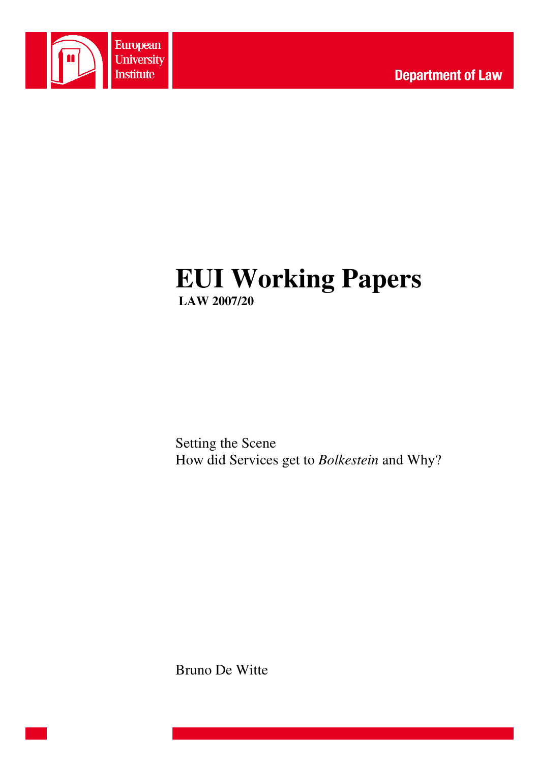

# **EUI Working Papers LAW 2007/20**

Setting the Scene How did Services get to *Bolkestein* and Why?

Bruno De Witte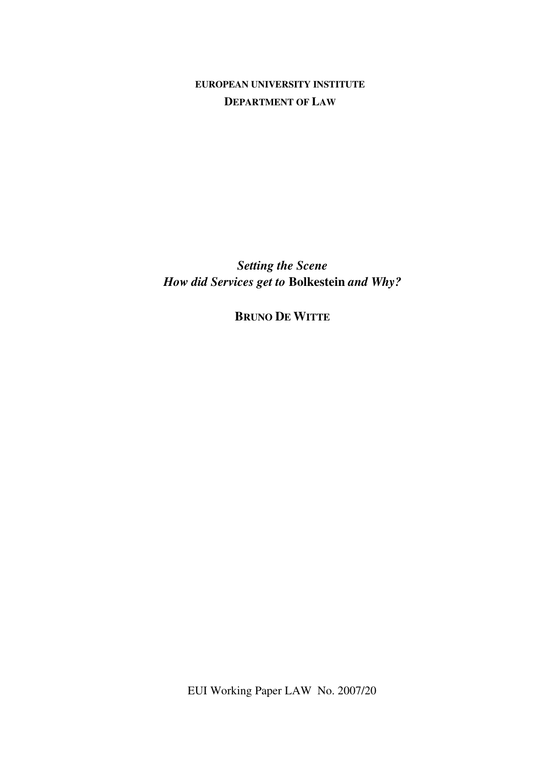**EUROPEAN UNIVERSITY INSTITUTE DEPARTMENT OF LAW**

*Setting the Scene How did Services get to* **Bolkestein** *and Why?* 

**BRUNO DE WITTE**

EUI Working Paper LAW No. 2007/20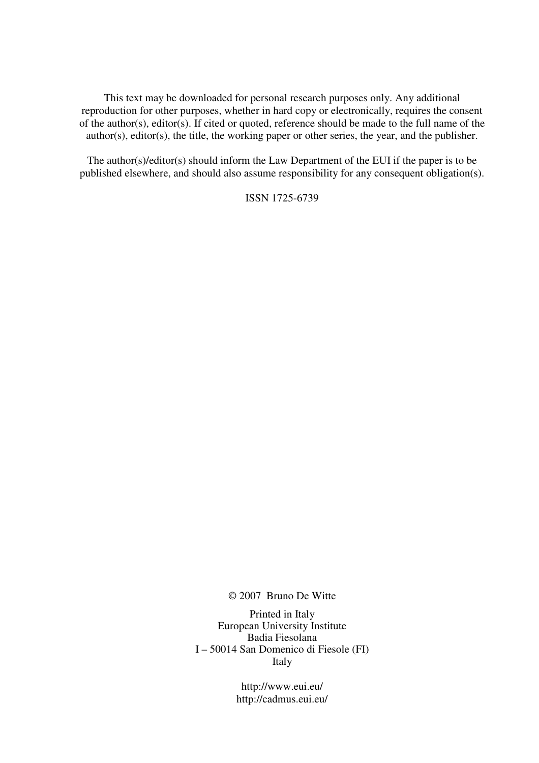This text may be downloaded for personal research purposes only. Any additional reproduction for other purposes, whether in hard copy or electronically, requires the consent of the author(s), editor(s). If cited or quoted, reference should be made to the full name of the author(s), editor(s), the title, the working paper or other series, the year, and the publisher.

The author(s)/editor(s) should inform the Law Department of the EUI if the paper is to be published elsewhere, and should also assume responsibility for any consequent obligation(s).

ISSN 1725-6739

© 2007 Bruno De Witte

Printed in Italy European University Institute Badia Fiesolana I – 50014 San Domenico di Fiesole (FI) Italy

> http://www.eui.eu/ http://cadmus.eui.eu/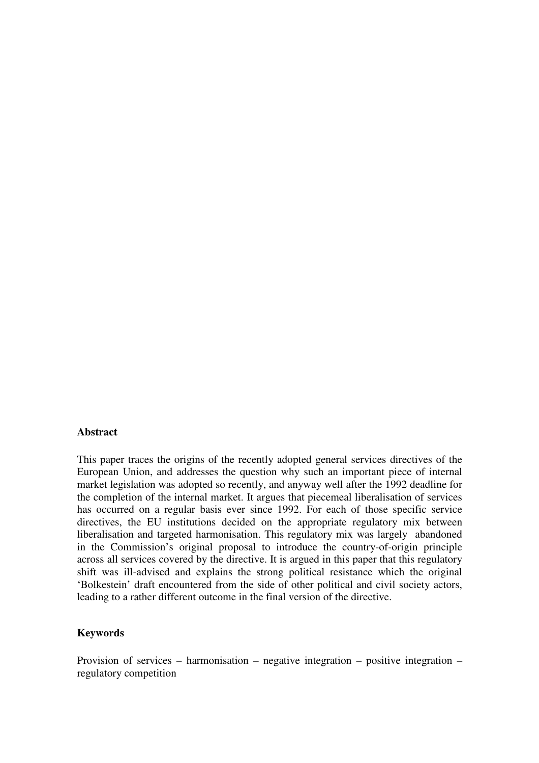#### **Abstract**

This paper traces the origins of the recently adopted general services directives of the European Union, and addresses the question why such an important piece of internal market legislation was adopted so recently, and anyway well after the 1992 deadline for the completion of the internal market. It argues that piecemeal liberalisation of services has occurred on a regular basis ever since 1992. For each of those specific service directives, the EU institutions decided on the appropriate regulatory mix between liberalisation and targeted harmonisation. This regulatory mix was largely abandoned in the Commission's original proposal to introduce the country-of-origin principle across all services covered by the directive. It is argued in this paper that this regulatory shift was ill-advised and explains the strong political resistance which the original 'Bolkestein' draft encountered from the side of other political and civil society actors, leading to a rather different outcome in the final version of the directive.

#### **Keywords**

Provision of services – harmonisation – negative integration – positive integration – regulatory competition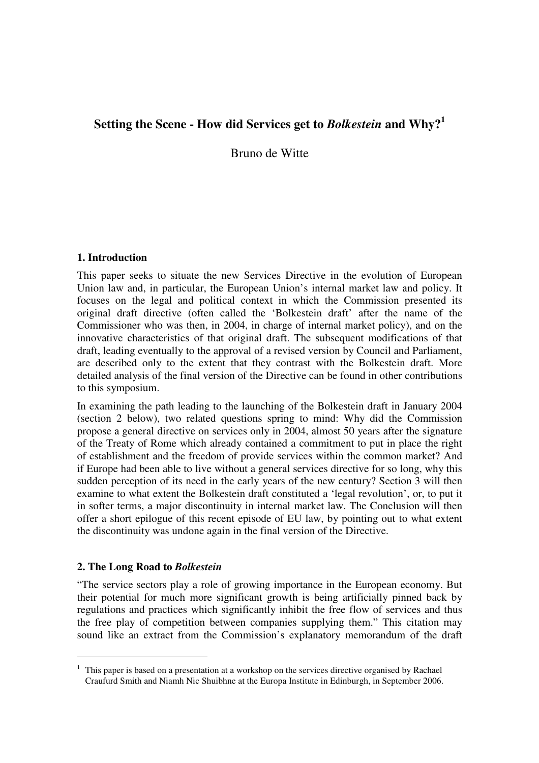# **Setting the Scene - How did Services get to** *Bolkestein* **and Why?<sup>1</sup>**

Bruno de Witte

## **1. Introduction**

This paper seeks to situate the new Services Directive in the evolution of European Union law and, in particular, the European Union's internal market law and policy. It focuses on the legal and political context in which the Commission presented its original draft directive (often called the 'Bolkestein draft' after the name of the Commissioner who was then, in 2004, in charge of internal market policy), and on the innovative characteristics of that original draft. The subsequent modifications of that draft, leading eventually to the approval of a revised version by Council and Parliament, are described only to the extent that they contrast with the Bolkestein draft. More detailed analysis of the final version of the Directive can be found in other contributions to this symposium.

In examining the path leading to the launching of the Bolkestein draft in January 2004 (section 2 below), two related questions spring to mind: Why did the Commission propose a general directive on services only in 2004, almost 50 years after the signature of the Treaty of Rome which already contained a commitment to put in place the right of establishment and the freedom of provide services within the common market? And if Europe had been able to live without a general services directive for so long, why this sudden perception of its need in the early years of the new century? Section 3 will then examine to what extent the Bolkestein draft constituted a 'legal revolution', or, to put it in softer terms, a major discontinuity in internal market law. The Conclusion will then offer a short epilogue of this recent episode of EU law, by pointing out to what extent the discontinuity was undone again in the final version of the Directive.

## **2. The Long Road to** *Bolkestein*

 $\overline{a}$ 

"The service sectors play a role of growing importance in the European economy. But their potential for much more significant growth is being artificially pinned back by regulations and practices which significantly inhibit the free flow of services and thus the free play of competition between companies supplying them." This citation may sound like an extract from the Commission's explanatory memorandum of the draft

<sup>1</sup> This paper is based on a presentation at a workshop on the services directive organised by Rachael Craufurd Smith and Niamh Nic Shuibhne at the Europa Institute in Edinburgh, in September 2006.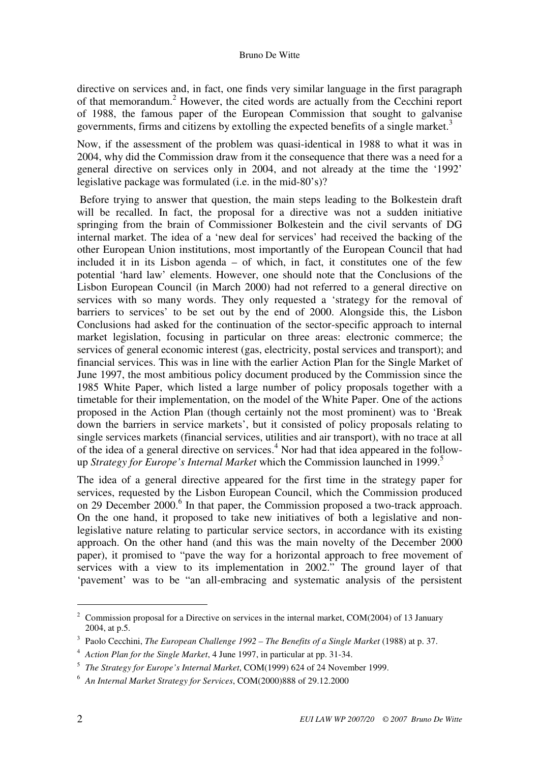#### Bruno De Witte

directive on services and, in fact, one finds very similar language in the first paragraph of that memorandum.<sup>2</sup> However, the cited words are actually from the Cecchini report of 1988, the famous paper of the European Commission that sought to galvanise governments, firms and citizens by extolling the expected benefits of a single market.<sup>3</sup>

Now, if the assessment of the problem was quasi-identical in 1988 to what it was in 2004, why did the Commission draw from it the consequence that there was a need for a general directive on services only in 2004, and not already at the time the '1992' legislative package was formulated (i.e. in the mid-80's)?

 Before trying to answer that question, the main steps leading to the Bolkestein draft will be recalled. In fact, the proposal for a directive was not a sudden initiative springing from the brain of Commissioner Bolkestein and the civil servants of DG internal market. The idea of a 'new deal for services' had received the backing of the other European Union institutions, most importantly of the European Council that had included it in its Lisbon agenda – of which, in fact, it constitutes one of the few potential 'hard law' elements. However, one should note that the Conclusions of the Lisbon European Council (in March 2000) had not referred to a general directive on services with so many words. They only requested a 'strategy for the removal of barriers to services' to be set out by the end of 2000. Alongside this, the Lisbon Conclusions had asked for the continuation of the sector-specific approach to internal market legislation, focusing in particular on three areas: electronic commerce; the services of general economic interest (gas, electricity, postal services and transport); and financial services. This was in line with the earlier Action Plan for the Single Market of June 1997, the most ambitious policy document produced by the Commission since the 1985 White Paper, which listed a large number of policy proposals together with a timetable for their implementation, on the model of the White Paper. One of the actions proposed in the Action Plan (though certainly not the most prominent) was to 'Break down the barriers in service markets', but it consisted of policy proposals relating to single services markets (financial services, utilities and air transport), with no trace at all of the idea of a general directive on services.<sup>4</sup> Nor had that idea appeared in the followup *Strategy for Europe's Internal Market* which the Commission launched in 1999.<sup>5</sup>

The idea of a general directive appeared for the first time in the strategy paper for services, requested by the Lisbon European Council, which the Commission produced on 29 December 2000.<sup>6</sup> In that paper, the Commission proposed a two-track approach. On the one hand, it proposed to take new initiatives of both a legislative and nonlegislative nature relating to particular service sectors, in accordance with its existing approach. On the other hand (and this was the main novelty of the December 2000 paper), it promised to "pave the way for a horizontal approach to free movement of services with a view to its implementation in 2002." The ground layer of that 'pavement' was to be "an all-embracing and systematic analysis of the persistent

<sup>&</sup>lt;sup>2</sup> Commission proposal for a Directive on services in the internal market, COM(2004) of 13 January 2004, at p.5.

<sup>3</sup> Paolo Cecchini, *The European Challenge 1992 – The Benefits of a Single Market* (1988) at p. 37.

<sup>4</sup> *Action Plan for the Single Market*, 4 June 1997, in particular at pp. 31-34.

<sup>5</sup> *The Strategy for Europe's Internal Market*, COM(1999) 624 of 24 November 1999.

<sup>6</sup> *An Internal Market Strategy for Services*, COM(2000)888 of 29.12.2000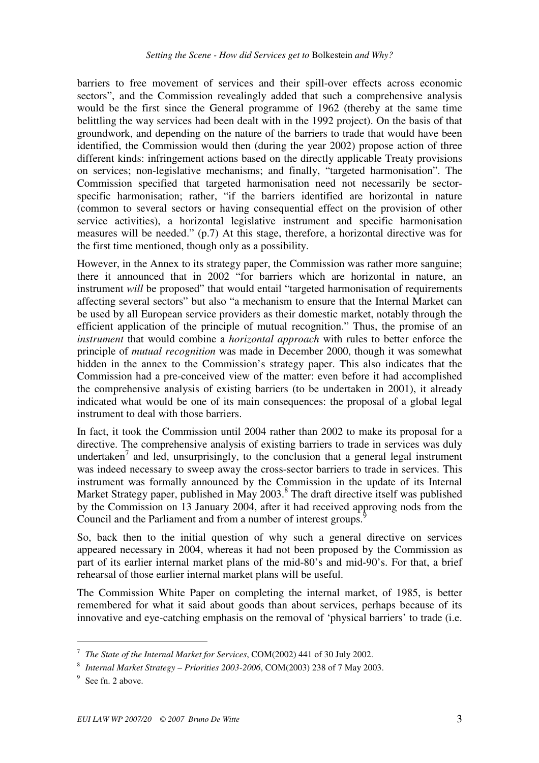barriers to free movement of services and their spill-over effects across economic sectors", and the Commission revealingly added that such a comprehensive analysis would be the first since the General programme of 1962 (thereby at the same time belittling the way services had been dealt with in the 1992 project). On the basis of that groundwork, and depending on the nature of the barriers to trade that would have been identified, the Commission would then (during the year 2002) propose action of three different kinds: infringement actions based on the directly applicable Treaty provisions on services; non-legislative mechanisms; and finally, "targeted harmonisation". The Commission specified that targeted harmonisation need not necessarily be sectorspecific harmonisation; rather, "if the barriers identified are horizontal in nature (common to several sectors or having consequential effect on the provision of other service activities), a horizontal legislative instrument and specific harmonisation measures will be needed." (p.7) At this stage, therefore, a horizontal directive was for the first time mentioned, though only as a possibility.

However, in the Annex to its strategy paper, the Commission was rather more sanguine; there it announced that in 2002 "for barriers which are horizontal in nature, an instrument *will* be proposed" that would entail "targeted harmonisation of requirements affecting several sectors" but also "a mechanism to ensure that the Internal Market can be used by all European service providers as their domestic market, notably through the efficient application of the principle of mutual recognition." Thus, the promise of an *instrument* that would combine a *horizontal approach* with rules to better enforce the principle of *mutual recognition* was made in December 2000, though it was somewhat hidden in the annex to the Commission's strategy paper. This also indicates that the Commission had a pre-conceived view of the matter: even before it had accomplished the comprehensive analysis of existing barriers (to be undertaken in 2001), it already indicated what would be one of its main consequences: the proposal of a global legal instrument to deal with those barriers.

In fact, it took the Commission until 2004 rather than 2002 to make its proposal for a directive. The comprehensive analysis of existing barriers to trade in services was duly undertaken<sup>7</sup> and led, unsurprisingly, to the conclusion that a general legal instrument was indeed necessary to sweep away the cross-sector barriers to trade in services. This instrument was formally announced by the Commission in the update of its Internal Market Strategy paper, published in May 2003.<sup>8</sup> The draft directive itself was published by the Commission on 13 January 2004, after it had received approving nods from the Council and the Parliament and from a number of interest groups.<sup>9</sup>

So, back then to the initial question of why such a general directive on services appeared necessary in 2004, whereas it had not been proposed by the Commission as part of its earlier internal market plans of the mid-80's and mid-90's. For that, a brief rehearsal of those earlier internal market plans will be useful.

The Commission White Paper on completing the internal market, of 1985, is better remembered for what it said about goods than about services, perhaps because of its innovative and eye-catching emphasis on the removal of 'physical barriers' to trade (i.e.

<sup>7</sup> *The State of the Internal Market for Services*, COM(2002) 441 of 30 July 2002.

<sup>8</sup> *Internal Market Strategy – Priorities 2003-2006*, COM(2003) 238 of 7 May 2003.

<sup>&</sup>lt;sup>9</sup> See fn. 2 above.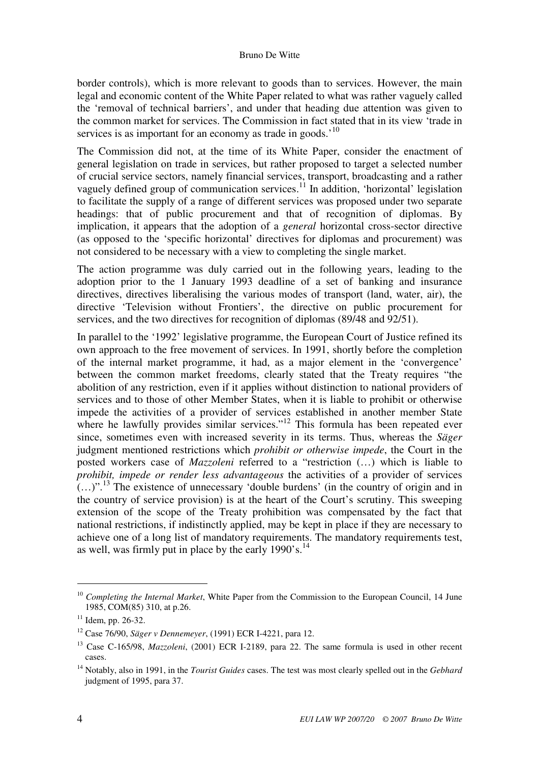border controls), which is more relevant to goods than to services. However, the main legal and economic content of the White Paper related to what was rather vaguely called the 'removal of technical barriers', and under that heading due attention was given to the common market for services. The Commission in fact stated that in its view 'trade in services is as important for an economy as trade in goods.<sup>'10</sup>

The Commission did not, at the time of its White Paper, consider the enactment of general legislation on trade in services, but rather proposed to target a selected number of crucial service sectors, namely financial services, transport, broadcasting and a rather vaguely defined group of communication services.<sup>11</sup> In addition, 'horizontal' legislation to facilitate the supply of a range of different services was proposed under two separate headings: that of public procurement and that of recognition of diplomas. By implication, it appears that the adoption of a *general* horizontal cross-sector directive (as opposed to the 'specific horizontal' directives for diplomas and procurement) was not considered to be necessary with a view to completing the single market.

The action programme was duly carried out in the following years, leading to the adoption prior to the 1 January 1993 deadline of a set of banking and insurance directives, directives liberalising the various modes of transport (land, water, air), the directive 'Television without Frontiers', the directive on public procurement for services, and the two directives for recognition of diplomas (89/48 and 92/51).

In parallel to the '1992' legislative programme, the European Court of Justice refined its own approach to the free movement of services. In 1991, shortly before the completion of the internal market programme, it had, as a major element in the 'convergence' between the common market freedoms, clearly stated that the Treaty requires "the abolition of any restriction, even if it applies without distinction to national providers of services and to those of other Member States, when it is liable to prohibit or otherwise impede the activities of a provider of services established in another member State where he lawfully provides similar services."<sup>12</sup> This formula has been repeated ever since, sometimes even with increased severity in its terms. Thus, whereas the *Säger* judgment mentioned restrictions which *prohibit or otherwise impede*, the Court in the posted workers case of *Mazzoleni* referred to a "restriction (…) which is liable to *prohibit, impede or render less advantageous* the activities of a provider of services  $(...)$ ".<sup>13</sup> The existence of unnecessary 'double burdens' (in the country of origin and in the country of service provision) is at the heart of the Court's scrutiny. This sweeping extension of the scope of the Treaty prohibition was compensated by the fact that national restrictions, if indistinctly applied, may be kept in place if they are necessary to achieve one of a long list of mandatory requirements. The mandatory requirements test, as well, was firmly put in place by the early  $1990$ 's.<sup>14</sup>

<sup>&</sup>lt;sup>10</sup> Completing the Internal Market, White Paper from the Commission to the European Council, 14 June 1985, COM(85) 310, at p.26.

 $11$  Idem, pp. 26-32.

<sup>12</sup> Case 76/90, *Säger v Dennemeyer*, (1991) ECR I-4221, para 12.

<sup>13</sup> Case C-165/98, *Mazzoleni*, (2001) ECR I-2189, para 22. The same formula is used in other recent cases.

<sup>14</sup> Notably, also in 1991, in the *Tourist Guides* cases. The test was most clearly spelled out in the *Gebhard* judgment of 1995, para 37.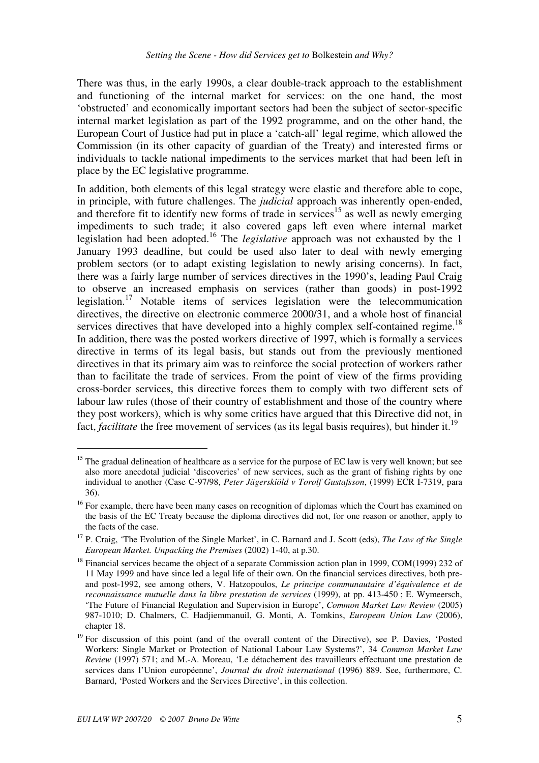There was thus, in the early 1990s, a clear double-track approach to the establishment and functioning of the internal market for services: on the one hand, the most 'obstructed' and economically important sectors had been the subject of sector-specific internal market legislation as part of the 1992 programme, and on the other hand, the European Court of Justice had put in place a 'catch-all' legal regime, which allowed the Commission (in its other capacity of guardian of the Treaty) and interested firms or individuals to tackle national impediments to the services market that had been left in place by the EC legislative programme.

In addition, both elements of this legal strategy were elastic and therefore able to cope, in principle, with future challenges. The *judicial* approach was inherently open-ended, and therefore fit to identify new forms of trade in services<sup>15</sup> as well as newly emerging impediments to such trade; it also covered gaps left even where internal market legislation had been adopted.<sup>16</sup> The *legislative* approach was not exhausted by the 1 January 1993 deadline, but could be used also later to deal with newly emerging problem sectors (or to adapt existing legislation to newly arising concerns). In fact, there was a fairly large number of services directives in the 1990's, leading Paul Craig to observe an increased emphasis on services (rather than goods) in post-1992 legislation.<sup>17</sup> Notable items of services legislation were the telecommunication directives, the directive on electronic commerce 2000/31, and a whole host of financial services directives that have developed into a highly complex self-contained regime.<sup>18</sup> In addition, there was the posted workers directive of 1997, which is formally a services directive in terms of its legal basis, but stands out from the previously mentioned directives in that its primary aim was to reinforce the social protection of workers rather than to facilitate the trade of services. From the point of view of the firms providing cross-border services, this directive forces them to comply with two different sets of labour law rules (those of their country of establishment and those of the country where they post workers), which is why some critics have argued that this Directive did not, in fact, *facilitate* the free movement of services (as its legal basis requires), but hinder it.<sup>19</sup>

<sup>&</sup>lt;sup>15</sup> The gradual delineation of healthcare as a service for the purpose of EC law is very well known; but see also more anecdotal judicial 'discoveries' of new services, such as the grant of fishing rights by one individual to another (Case C-97/98, *Peter Jägerskiöld v Torolf Gustafsson*, (1999) ECR I-7319, para 36).

<sup>&</sup>lt;sup>16</sup> For example, there have been many cases on recognition of diplomas which the Court has examined on the basis of the EC Treaty because the diploma directives did not, for one reason or another, apply to the facts of the case.

<sup>17</sup> P. Craig, 'The Evolution of the Single Market', in C. Barnard and J. Scott (eds), *The Law of the Single European Market. Unpacking the Premises* (2002) 1-40, at p.30.

<sup>18</sup> Financial services became the object of a separate Commission action plan in 1999, COM(1999) 232 of 11 May 1999 and have since led a legal life of their own. On the financial services directives, both preand post-1992, see among others, V. Hatzopoulos, *Le principe communautaire d'équivalence et de reconnaissance mutuelle dans la libre prestation de services* (1999), at pp. 413-450 ; E. Wymeersch, 'The Future of Financial Regulation and Supervision in Europe', *Common Market Law Review* (2005) 987-1010; D. Chalmers, C. Hadjiemmanuil, G. Monti, A. Tomkins, *European Union Law* (2006), chapter 18.

<sup>&</sup>lt;sup>19</sup> For discussion of this point (and of the overall content of the Directive), see P. Davies, 'Posted Workers: Single Market or Protection of National Labour Law Systems?', 34 *Common Market Law Review* (1997) 571; and M.-A. Moreau, 'Le détachement des travailleurs effectuant une prestation de services dans l'Union européenne', *Journal du droit international* (1996) 889. See, furthermore, C. Barnard, 'Posted Workers and the Services Directive', in this collection.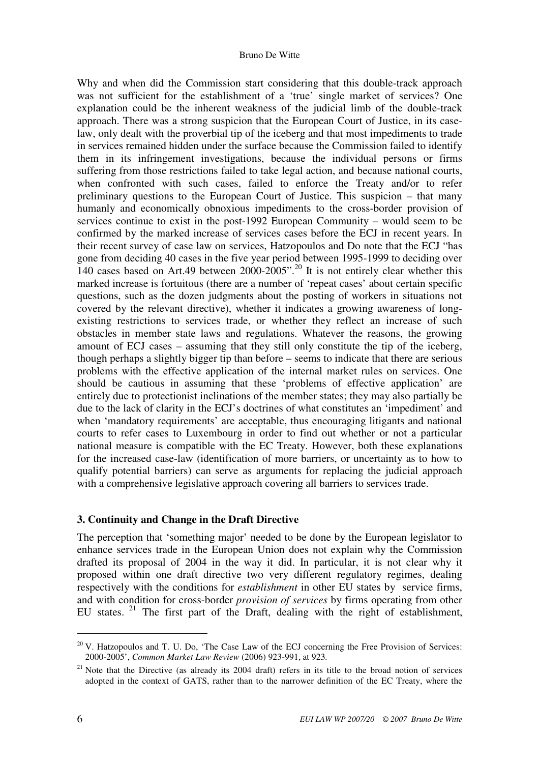Why and when did the Commission start considering that this double-track approach was not sufficient for the establishment of a 'true' single market of services? One explanation could be the inherent weakness of the judicial limb of the double-track approach. There was a strong suspicion that the European Court of Justice, in its caselaw, only dealt with the proverbial tip of the iceberg and that most impediments to trade in services remained hidden under the surface because the Commission failed to identify them in its infringement investigations, because the individual persons or firms suffering from those restrictions failed to take legal action, and because national courts, when confronted with such cases, failed to enforce the Treaty and/or to refer preliminary questions to the European Court of Justice. This suspicion – that many humanly and economically obnoxious impediments to the cross-border provision of services continue to exist in the post-1992 European Community – would seem to be confirmed by the marked increase of services cases before the ECJ in recent years. In their recent survey of case law on services, Hatzopoulos and Do note that the ECJ "has gone from deciding 40 cases in the five year period between 1995-1999 to deciding over 140 cases based on Art.49 between 2000-2005".<sup>20</sup> It is not entirely clear whether this marked increase is fortuitous (there are a number of 'repeat cases' about certain specific questions, such as the dozen judgments about the posting of workers in situations not covered by the relevant directive), whether it indicates a growing awareness of longexisting restrictions to services trade, or whether they reflect an increase of such obstacles in member state laws and regulations. Whatever the reasons, the growing amount of ECJ cases – assuming that they still only constitute the tip of the iceberg, though perhaps a slightly bigger tip than before – seems to indicate that there are serious problems with the effective application of the internal market rules on services. One should be cautious in assuming that these 'problems of effective application' are entirely due to protectionist inclinations of the member states; they may also partially be due to the lack of clarity in the ECJ's doctrines of what constitutes an 'impediment' and when 'mandatory requirements' are acceptable, thus encouraging litigants and national courts to refer cases to Luxembourg in order to find out whether or not a particular national measure is compatible with the EC Treaty. However, both these explanations for the increased case-law (identification of more barriers, or uncertainty as to how to qualify potential barriers) can serve as arguments for replacing the judicial approach with a comprehensive legislative approach covering all barriers to services trade.

## **3. Continuity and Change in the Draft Directive**

The perception that 'something major' needed to be done by the European legislator to enhance services trade in the European Union does not explain why the Commission drafted its proposal of 2004 in the way it did. In particular, it is not clear why it proposed within one draft directive two very different regulatory regimes, dealing respectively with the conditions for *establishment* in other EU states by service firms, and with condition for cross-border *provision of services* by firms operating from other EU states.<sup>21</sup> The first part of the Draft, dealing with the right of establishment,

 $20$  V. Hatzopoulos and T. U. Do, 'The Case Law of the ECJ concerning the Free Provision of Services: 2000-2005', *Common Market Law Review* (2006) 923-991, at 923*.* 

 $21$  Note that the Directive (as already its 2004 draft) refers in its title to the broad notion of services adopted in the context of GATS, rather than to the narrower definition of the EC Treaty, where the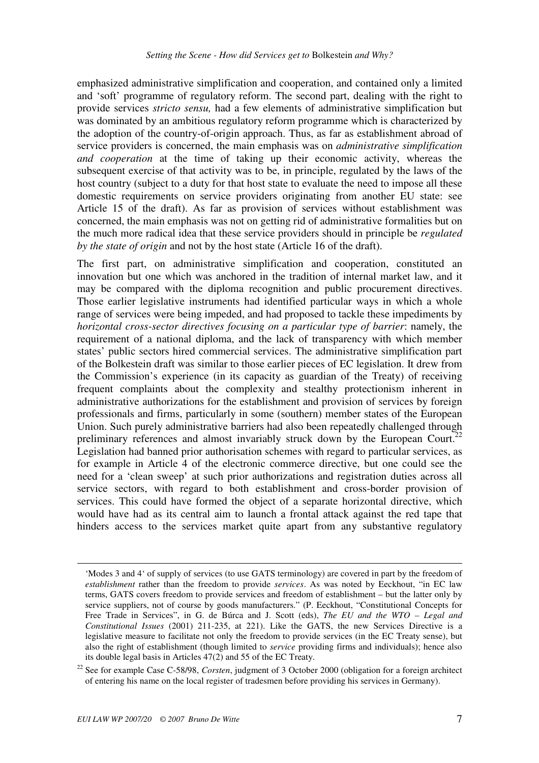emphasized administrative simplification and cooperation, and contained only a limited and 'soft' programme of regulatory reform. The second part, dealing with the right to provide services *stricto sensu,* had a few elements of administrative simplification but was dominated by an ambitious regulatory reform programme which is characterized by the adoption of the country-of-origin approach. Thus, as far as establishment abroad of service providers is concerned, the main emphasis was on *administrative simplification and cooperation* at the time of taking up their economic activity, whereas the subsequent exercise of that activity was to be, in principle, regulated by the laws of the host country (subject to a duty for that host state to evaluate the need to impose all these domestic requirements on service providers originating from another EU state: see Article 15 of the draft). As far as provision of services without establishment was concerned, the main emphasis was not on getting rid of administrative formalities but on the much more radical idea that these service providers should in principle be *regulated by the state of origin* and not by the host state (Article 16 of the draft).

The first part, on administrative simplification and cooperation, constituted an innovation but one which was anchored in the tradition of internal market law, and it may be compared with the diploma recognition and public procurement directives. Those earlier legislative instruments had identified particular ways in which a whole range of services were being impeded, and had proposed to tackle these impediments by *horizontal cross-sector directives focusing on a particular type of barrier*: namely, the requirement of a national diploma, and the lack of transparency with which member states' public sectors hired commercial services. The administrative simplification part of the Bolkestein draft was similar to those earlier pieces of EC legislation. It drew from the Commission's experience (in its capacity as guardian of the Treaty) of receiving frequent complaints about the complexity and stealthy protectionism inherent in administrative authorizations for the establishment and provision of services by foreign professionals and firms, particularly in some (southern) member states of the European Union. Such purely administrative barriers had also been repeatedly challenged through preliminary references and almost invariably struck down by the European Court.<sup>22</sup> Legislation had banned prior authorisation schemes with regard to particular services, as for example in Article 4 of the electronic commerce directive, but one could see the need for a 'clean sweep' at such prior authorizations and registration duties across all service sectors, with regard to both establishment and cross-border provision of services. This could have formed the object of a separate horizontal directive, which would have had as its central aim to launch a frontal attack against the red tape that hinders access to the services market quite apart from any substantive regulatory

-

<sup>&#</sup>x27;Modes 3 and 4' of supply of services (to use GATS terminology) are covered in part by the freedom of *establishment* rather than the freedom to provide *services*. As was noted by Eeckhout, "in EC law terms, GATS covers freedom to provide services and freedom of establishment – but the latter only by service suppliers, not of course by goods manufacturers." (P. Eeckhout, "Constitutional Concepts for Free Trade in Services", in G. de Búrca and J. Scott (eds), *The EU and the WTO – Legal and Constitutional Issues* (2001) 211-235, at 221). Like the GATS, the new Services Directive is a legislative measure to facilitate not only the freedom to provide services (in the EC Treaty sense), but also the right of establishment (though limited to *service* providing firms and individuals); hence also its double legal basis in Articles 47(2) and 55 of the EC Treaty.

<sup>22</sup> See for example Case C-58/98, *Corsten*, judgment of 3 October 2000 (obligation for a foreign architect of entering his name on the local register of tradesmen before providing his services in Germany).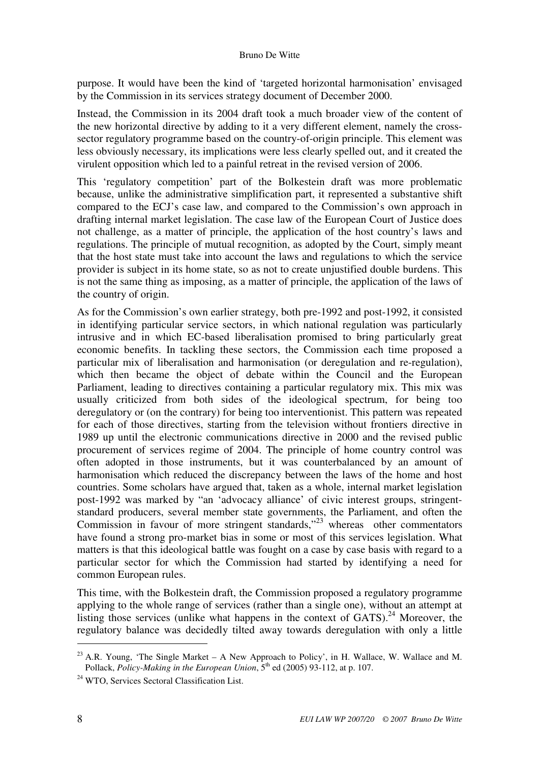#### Bruno De Witte

purpose. It would have been the kind of 'targeted horizontal harmonisation' envisaged by the Commission in its services strategy document of December 2000.

Instead, the Commission in its 2004 draft took a much broader view of the content of the new horizontal directive by adding to it a very different element, namely the crosssector regulatory programme based on the country-of-origin principle. This element was less obviously necessary, its implications were less clearly spelled out, and it created the virulent opposition which led to a painful retreat in the revised version of 2006.

This 'regulatory competition' part of the Bolkestein draft was more problematic because, unlike the administrative simplification part, it represented a substantive shift compared to the ECJ's case law, and compared to the Commission's own approach in drafting internal market legislation. The case law of the European Court of Justice does not challenge, as a matter of principle, the application of the host country's laws and regulations. The principle of mutual recognition, as adopted by the Court, simply meant that the host state must take into account the laws and regulations to which the service provider is subject in its home state, so as not to create unjustified double burdens. This is not the same thing as imposing, as a matter of principle, the application of the laws of the country of origin.

As for the Commission's own earlier strategy, both pre-1992 and post-1992, it consisted in identifying particular service sectors, in which national regulation was particularly intrusive and in which EC-based liberalisation promised to bring particularly great economic benefits. In tackling these sectors, the Commission each time proposed a particular mix of liberalisation and harmonisation (or deregulation and re-regulation), which then became the object of debate within the Council and the European Parliament, leading to directives containing a particular regulatory mix. This mix was usually criticized from both sides of the ideological spectrum, for being too deregulatory or (on the contrary) for being too interventionist. This pattern was repeated for each of those directives, starting from the television without frontiers directive in 1989 up until the electronic communications directive in 2000 and the revised public procurement of services regime of 2004. The principle of home country control was often adopted in those instruments, but it was counterbalanced by an amount of harmonisation which reduced the discrepancy between the laws of the home and host countries. Some scholars have argued that, taken as a whole, internal market legislation post-1992 was marked by "an 'advocacy alliance' of civic interest groups, stringentstandard producers, several member state governments, the Parliament, and often the Commission in favour of more stringent standards,"<sup>23'</sup> whereas other commentators have found a strong pro-market bias in some or most of this services legislation. What matters is that this ideological battle was fought on a case by case basis with regard to a particular sector for which the Commission had started by identifying a need for common European rules.

This time, with the Bolkestein draft, the Commission proposed a regulatory programme applying to the whole range of services (rather than a single one), without an attempt at listing those services (unlike what happens in the context of GATS).<sup>24</sup> Moreover, the regulatory balance was decidedly tilted away towards deregulation with only a little

<sup>&</sup>lt;sup>23</sup> A.R. Young, 'The Single Market – A New Approach to Policy', in H. Wallace, W. Wallace and M. Pollack, *Policy-Making in the European Union*,  $5<sup>th</sup>$  ed (2005) 93-112, at p. 107.

<sup>&</sup>lt;sup>24</sup> WTO, Services Sectoral Classification List.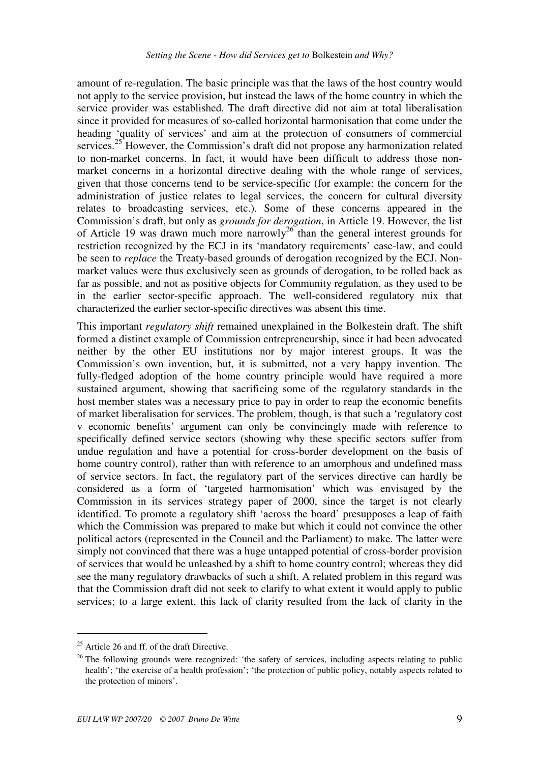amount of re-regulation. The basic principle was that the laws of the host country would not apply to the service provision, but instead the laws of the home country in which the service provider was established. The draft directive did not aim at total liberalisation since it provided for measures of so-called horizontal harmonisation that come under the heading 'quality of services' and aim at the protection of consumers of commercial services.<sup>25</sup> However, the Commission's draft did not propose any harmonization related to non-market concerns. In fact, it would have been difficult to address those nonmarket concerns in a horizontal directive dealing with the whole range of services, given that those concerns tend to be service-specific (for example: the concern for the administration of justice relates to legal services, the concern for cultural diversity relates to broadcasting services, etc.). Some of these concerns appeared in the Commission's draft, but only as *grounds for derogation*, in Article 19. However, the list of Article 19 was drawn much more narrowly<sup>26</sup> than the general interest grounds for restriction recognized by the ECJ in its 'mandatory requirements' case-law, and could be seen to *replace* the Treaty-based grounds of derogation recognized by the ECJ. Nonmarket values were thus exclusively seen as grounds of derogation, to be rolled back as far as possible, and not as positive objects for Community regulation, as they used to be in the earlier sector-specific approach. The well-considered regulatory mix that characterized the earlier sector-specific directives was absent this time.

This important *regulatory shift* remained unexplained in the Bolkestein draft. The shift formed a distinct example of Commission entrepreneurship, since it had been advocated neither by the other EU institutions nor by major interest groups. It was the Commission's own invention, but, it is submitted, not a very happy invention. The fully-fledged adoption of the home country principle would have required a more sustained argument, showing that sacrificing some of the regulatory standards in the host member states was a necessary price to pay in order to reap the economic benefits of market liberalisation for services. The problem, though, is that such a 'regulatory cost v economic benefits' argument can only be convincingly made with reference to specifically defined service sectors (showing why these specific sectors suffer from undue regulation and have a potential for cross-border development on the basis of home country control), rather than with reference to an amorphous and undefined mass of service sectors. In fact, the regulatory part of the services directive can hardly be considered as a form of 'targeted harmonisation' which was envisaged by the Commission in its services strategy paper of 2000, since the target is not clearly identified. To promote a regulatory shift 'across the board' presupposes a leap of faith which the Commission was prepared to make but which it could not convince the other political actors (represented in the Council and the Parliament) to make. The latter were simply not convinced that there was a huge untapped potential of cross-border provision of services that would be unleashed by a shift to home country control; whereas they did see the many regulatory drawbacks of such a shift. A related problem in this regard was that the Commission draft did not seek to clarify to what extent it would apply to public services; to a large extent, this lack of clarity resulted from the lack of clarity in the

<sup>&</sup>lt;sup>25</sup> Article 26 and ff. of the draft Directive.

<sup>&</sup>lt;sup>26</sup> The following grounds were recognized: 'the safety of services, including aspects relating to public health'; 'the exercise of a health profession'; 'the protection of public policy, notably aspects related to the protection of minors'.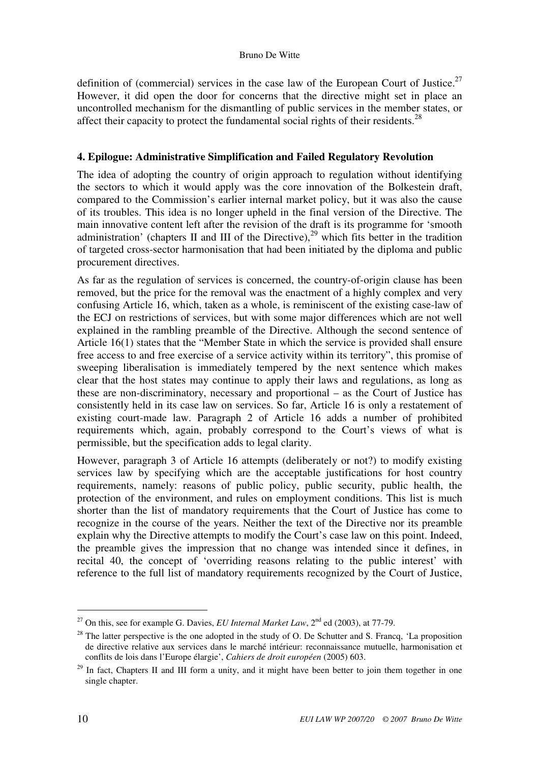definition of (commercial) services in the case law of the European Court of Justice.<sup>27</sup> However, it did open the door for concerns that the directive might set in place an uncontrolled mechanism for the dismantling of public services in the member states, or affect their capacity to protect the fundamental social rights of their residents.<sup>28</sup>

# **4. Epilogue: Administrative Simplification and Failed Regulatory Revolution**

The idea of adopting the country of origin approach to regulation without identifying the sectors to which it would apply was the core innovation of the Bolkestein draft, compared to the Commission's earlier internal market policy, but it was also the cause of its troubles. This idea is no longer upheld in the final version of the Directive. The main innovative content left after the revision of the draft is its programme for 'smooth administration' (chapters II and III of the Directive),<sup>29</sup> which fits better in the tradition of targeted cross-sector harmonisation that had been initiated by the diploma and public procurement directives.

As far as the regulation of services is concerned, the country-of-origin clause has been removed, but the price for the removal was the enactment of a highly complex and very confusing Article 16, which, taken as a whole, is reminiscent of the existing case-law of the ECJ on restrictions of services, but with some major differences which are not well explained in the rambling preamble of the Directive. Although the second sentence of Article 16(1) states that the "Member State in which the service is provided shall ensure free access to and free exercise of a service activity within its territory", this promise of sweeping liberalisation is immediately tempered by the next sentence which makes clear that the host states may continue to apply their laws and regulations, as long as these are non-discriminatory, necessary and proportional – as the Court of Justice has consistently held in its case law on services. So far, Article 16 is only a restatement of existing court-made law. Paragraph 2 of Article 16 adds a number of prohibited requirements which, again, probably correspond to the Court's views of what is permissible, but the specification adds to legal clarity.

However, paragraph 3 of Article 16 attempts (deliberately or not?) to modify existing services law by specifying which are the acceptable justifications for host country requirements, namely: reasons of public policy, public security, public health, the protection of the environment, and rules on employment conditions. This list is much shorter than the list of mandatory requirements that the Court of Justice has come to recognize in the course of the years. Neither the text of the Directive nor its preamble explain why the Directive attempts to modify the Court's case law on this point. Indeed, the preamble gives the impression that no change was intended since it defines, in recital 40, the concept of 'overriding reasons relating to the public interest' with reference to the full list of mandatory requirements recognized by the Court of Justice,

<sup>&</sup>lt;sup>27</sup> On this, see for example G. Davies, *EU Internal Market Law*,  $2<sup>nd</sup>$  ed (2003), at 77-79.

<sup>&</sup>lt;sup>28</sup> The latter perspective is the one adopted in the study of O. De Schutter and S. Francq, 'La proposition de directive relative aux services dans le marché intérieur: reconnaissance mutuelle, harmonisation et conflits de lois dans l'Europe élargie', *Cahiers de droit européen* (2005) 603.

<sup>&</sup>lt;sup>29</sup> In fact, Chapters II and III form a unity, and it might have been better to join them together in one single chapter.